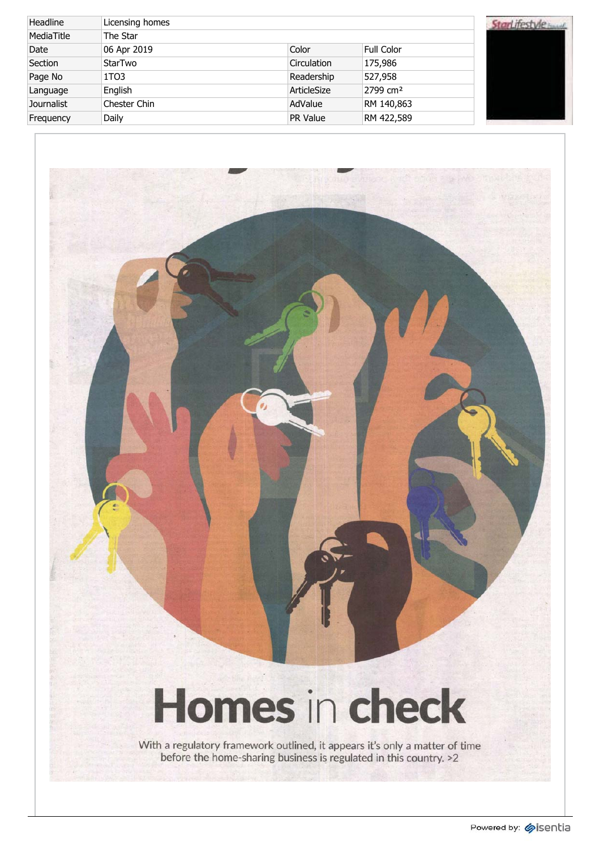| Headline          | Licensing homes   |                 |                      |  |
|-------------------|-------------------|-----------------|----------------------|--|
| MediaTitle        | The Star          |                 |                      |  |
| Date              | 06 Apr 2019       | Color           | <b>Full Color</b>    |  |
| Section           | <b>StarTwo</b>    | Circulation     | 175,986              |  |
| Page No           | 1T <sub>0</sub> 3 | Readership      | 527,958              |  |
| Language          | English           | ArticleSize     | 2799 cm <sup>2</sup> |  |
| <b>Journalist</b> | Chester Chin      | AdValue         | RM 140,863           |  |
| Frequency         | Daily             | <b>PR Value</b> | RM 422,589           |  |

# rLifestyle **Manuel**

## Homes in check

ptl<sub>is</sub>symmetry

With a regulatory framework outlined, it appears it's only a matter of time before the home-sharing business is regulated in this country. >2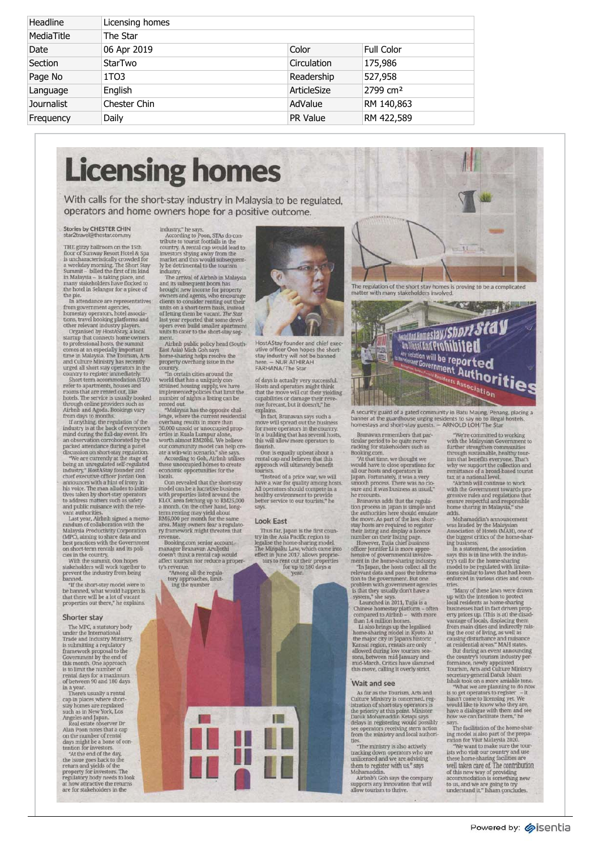| Headline          | Licensing homes |                 |                      |
|-------------------|-----------------|-----------------|----------------------|
| MediaTitle        | The Star        |                 |                      |
| Date              | 06 Apr 2019     | Color           | <b>Full Color</b>    |
| Section           | StarTwo         | Circulation     | 175,986              |
| Page No           | 1TO3            | Readership      | 527,958              |
| Language          | English         | ArticleSize     | 2799 cm <sup>2</sup> |
| <b>Journalist</b> | Chester Chin    | AdValue         | RM 140,863           |
| Frequency         | Daily           | <b>PR Value</b> | RM 422,589           |

## **Licensin g homes**

With calls for the short-stay industry in Malaysia to be regulated, **including the short-stay industry** in Malaysia to be regulated, **including the short-stay industry** in Malaysia to be regulated, **including the short-sta** operator s an d hom e owner s hop e fo r a positiv

#### **Stories by CHESTER CHIN**<br>star2travel@thestar.com.my

THE glitz y ballroo m o n th e 15th floor of Sunway Resort Hotel & Spa<br>is uncharacteristically crowded for<br>a weekday morning. The Short Stay<br>Summit – billed the first of its kind<br>in Malaysia – is taking place, and<br>many stakeholders have flocked to<br>the hotel the pie. e pie. In attendanc e ar e representatives

from government agencies,<br>homestay operators, hotel associations, travel booking platforms and<br>other relevant industry players.<br>Organised by HostAStay, a local<br>startup that connects home owners<br>to professional hosts, the s

comes at an especially important<br>time in Malaysia. The Tourism, Arts<br>and Culture Ministry has recently<br>urged all short stay operators in the<br>country to register immediately.<br>Short-term accommodation (STA)

Short-term accommodation (5TA)<br>
short-term accommodation (5TA)<br>
rerefer to apartments, houses and<br>
rooms that are rented out, like<br>
hotels. The sevice is usually booked<br>
through online providers such as<br>
dirbon and Agoda.

randum of collaboration with the<br>Malaysia Productivity Corporation<br>MPC), aiming to share data and<br>best practices with the Government<br>on short-term rentals and its poli-<br>with the sumulit, Oon hopes<br>with the sumulit, Oon hop

"If th e short-sta y mode l wer e to b e banned, wha t woul d happe n is tha t ther e wil l b e a lo t of vacant propertie s ou t there, " h e explains.

#### **Shorte r stay**

The MPC, a statutory body<br>under the International<br>Trade and Industry Ministry,<br>is submitting a regulatory<br>framework proposal to the<br>Government by the end of thi s month. On e approach i s t o limi t th e numbe r of renta l day s fo r a maximum of betwee n 9 0 an d 18 0 days

i n a year. There' s usuall y a rental ca p i n place s wher e short stay homes are regulated<br>such as in New York, Los

such as in New York, Los<br>Angeles and Japan.<br>Real estate observer Dr<br>Real estate observer Dr<br>Real estate observer Dr<br>and Doon notes that a cap<br>on the number of rental<br>tension controls.<br>"At the end of the day,<br>"At the same g

industry," he says.<br>According to Poon, STAs do con-<br>tribute to tourist footfalls in the<br>country. A rental cap would lead to<br>investors shying away from the<br>market and this would subsequent-<br>market and this would subsequent-

industry. Th e arriva l of Airbn b i n Malaysia and its subsequent boom has<br>brought new income for property<br>owners and agents, who encourage<br>clients to consider renting out their<br>units on a short-term basis, instead<br>of letting them be vacant. The Star<br>last year reported

Airbnb public policy head (South-<br>East Asia) Mich Gob says<br>home-sharing helps resolve the<br>property overhang issue in the<br>country.<br>"In certain cities around the

world that has a uniquely con-<br>strained housing supply, we have<br>implemented policies that limit the<br>number of rights a listing can be<br>rented out.<br>"Malaysia has the opposite chal-<br>"Malaysia has the opposite chal-<br>lenge, whe

overhang results in more than<br>30,000 unsold or unoccupied properties in Kuala Lumpur alone,<br>erties in Kuala Lumpur alone,<br>worth almost RM20bil. We believe<br>our community model can help create<br>ate a win-win scenario,\* she sa

locals. Oon revealed that the Oon revealed that the short-stay<br>model can be a lucrative business<br>with properties listed around the<br>KLCC area fatching up to RM25,000<br>a month. On the other hand, long-<br>term renting may yield about<br>measurem area. Many owne

Booking.co m senio r account manage r Branava n Aruljothi doesn' t thin k a renta l ca p would affec t touris m no r reduc e a proper





HostAStay founder and chief executive officer Oon hopes the short-<br>stay industry will not be banned<br>here. — NUR ATHIRAH<br>FARHANA/The Star

of days is actually very successful.<br>Hosts and operators might think<br>that the move will cut their yielding<br>capabilities or damage their reve-<br>nue forecast, but it doesn't," he

In fact, Branavan says such a<br>move will spread out the business<br>for more operators in the country.<br>In a building that has several hosts,<br>this will allow more operators to<br>flourish.

says.

#### **Loo k East**

Thus far, Japan is the first country in the Asia Pacific region to<br>legalise the home-sharing model.<br>The Minpaku Law, which came into the effect in June 2017, allows proprietors to rent out their properties<br>for the 180 days





A security guard of a gated community in Batu Maung, Penang, placing a<br>banner at the guardhouse urging residents to say no to illegal hostels,<br>homestays and short-stay guests. — ARNOLD LOH/The Star

Branava n remember s tha t par

Branavan remembers that particular period to be quite nerve<br>racking for stakeholders such as<br> $\frac{360 \times 1 \times 4}{24}$  that time, we thought we would have to close operations for<br>all our hosts and operators in<br>Japan. Fortunatel

he recounts.<br>Branavan adds that the regula-<br>tion process in Japan is simple and<br>the authorities here should emulate the authorities here should emulate<br>the authorities here should emulate<br>the move. As part of the law, short-<br>stay hosts are required to register<br>their listing and display a licence<br>moment in the parameter parameter parame

home-sharing model in Kyoto. At the major city in Japan's historic<br>Kansai region, rentals are only allowed during low tourism seasons, between mid-January and<br>mid-March. Critics have slammed mid-March. Critics have slammed

#### **Wait and see**

As far as the Tourism, Arts and<br>Culture Ministry is concerned, registration of short-stay operators is<br>the priority at this point. Minister<br>Datuk Mohamaddin Ketapi says<br>Datuk Mohamaddin Ketapi says<br>delays in registering wo

ties. "Th e ministr y i s als o actively trackin g dow n operator s wh o are unlicense d an d w e ar e advising

them to register with us," says<br>Airbnb's Goh says the company<br>supports any innovation that will<br>allow tourism to thrive.

"We're committed to working<br>with the Malaysian Government to<br>further strengthen communities<br>through sustainable, healthy tour-<br>ism that benefits everyone. That's<br>why we support the collection and<br>travely we support the col

Mohamaddin's announcement<br>was lauded by the Malaysian<br>Association of Hotels (MAH), one of<br>the biggest critics of the home-shar-<br>ing business,<br>In a statement, the association<br>assys this is in line with the indus-<br>try's call

triss.<br>
"Somy of these laws were drawn up with the intention to protect or<br>
"Many of these laws were drawn up with the intention to protect or<br>
businesses had in fact driven property prices up. (This is a) the disad-<br>
ran

Th e facilitatio n of th e home-shar

in g mode l i s als o par t of th e prepa - ratio n fo r Visit Malaysi a 2020. "We wan t t o mak e sur e th e tour - ist s wh o visi t ou r countr y an d use thes e home-sharin g facilitie s are Well taken care of. The contribution<br>of this new way of providing<br>accommodation is something new t o us, an d w e ar e goin g t o try understan d it, " Isha m concludes.



"Instead of a price war, we will<br>"Instead of a price war, we will<br>have a war for quality among hosts.<br>All operators should compete in a<br>healthy environment to provide<br>better service to our tourists," he